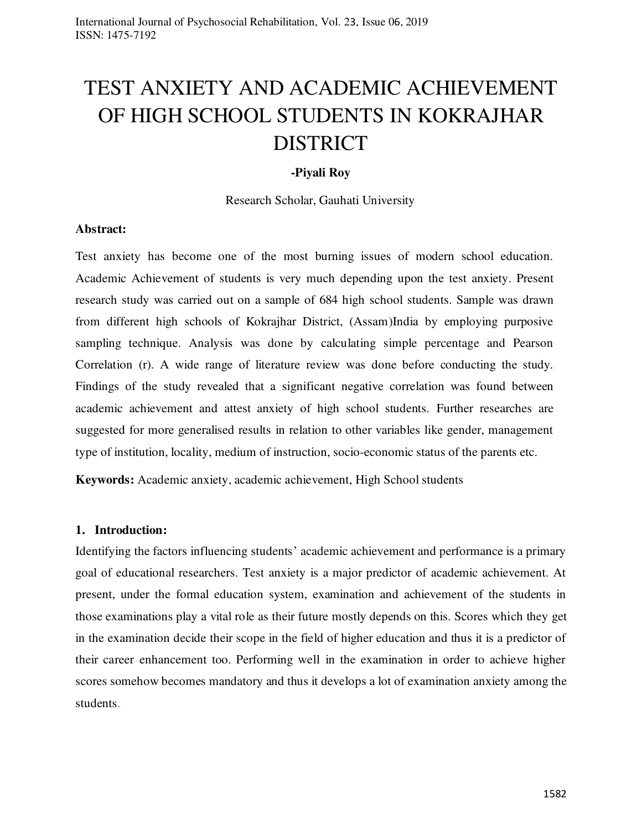# TEST ANXIETY AND ACADEMIC ACHIEVEMENT OF HIGH SCHOOL STUDENTS IN KOKRAJHAR DISTRICT

### **-Piyali Roy**

Research Scholar, Gauhati University

#### **Abstract:**

Test anxiety has become one of the most burning issues of modern school education. Academic Achievement of students is very much depending upon the test anxiety. Present research study was carried out on a sample of 684 high school students. Sample was drawn from different high schools of Kokrajhar District, (Assam)India by employing purposive sampling technique. Analysis was done by calculating simple percentage and Pearson Correlation (r). A wide range of literature review was done before conducting the study. Findings of the study revealed that a significant negative correlation was found between academic achievement and attest anxiety of high school students. Further researches are suggested for more generalised results in relation to other variables like gender, management type of institution, locality, medium of instruction, socio-economic status of the parents etc.

**Keywords:** Academic anxiety, academic achievement, High School students

#### **1. Introduction:**

Identifying the factors influencing students' academic achievement and performance is a primary goal of educational researchers. Test anxiety is a major predictor of academic achievement. At present, under the formal education system, examination and achievement of the students in those examinations play a vital role as their future mostly depends on this. Scores which they get in the examination decide their scope in the field of higher education and thus it is a predictor of their career enhancement too. Performing well in the examination in order to achieve higher scores somehow becomes mandatory and thus it develops a lot of examination anxiety among the students.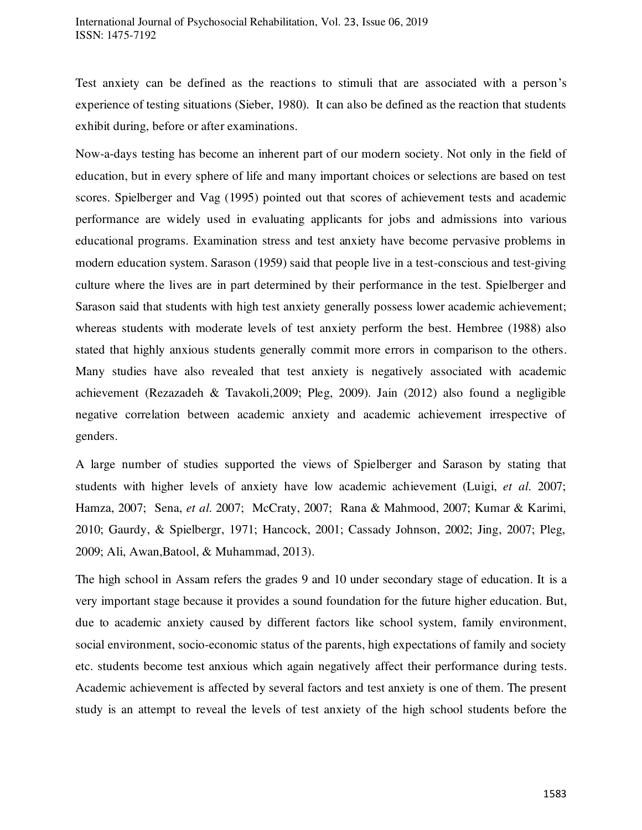Test anxiety can be defined as the reactions to stimuli that are associated with a person's experience of testing situations (Sieber, 1980). It can also be defined as the reaction that students exhibit during, before or after examinations.

Now-a-days testing has become an inherent part of our modern society. Not only in the field of education, but in every sphere of life and many important choices or selections are based on test scores. Spielberger and Vag (1995) pointed out that scores of achievement tests and academic performance are widely used in evaluating applicants for jobs and admissions into various educational programs. Examination stress and test anxiety have become pervasive problems in modern education system. Sarason (1959) said that people live in a test-conscious and test-giving culture where the lives are in part determined by their performance in the test. Spielberger and Sarason said that students with high test anxiety generally possess lower academic achievement; whereas students with moderate levels of test anxiety perform the best. Hembree (1988) also stated that highly anxious students generally commit more errors in comparison to the others. Many studies have also revealed that test anxiety is negatively associated with academic achievement (Rezazadeh & Tavakoli,2009; Pleg, 2009). Jain (2012) also found a negligible negative correlation between academic anxiety and academic achievement irrespective of genders.

A large number of studies supported the views of Spielberger and Sarason by stating that students with higher levels of anxiety have low academic achievement (Luigi, *et al*. 2007; Hamza, 2007; Sena, *et al*. 2007; McCraty, 2007; Rana & Mahmood, 2007; Kumar & Karimi, 2010; Gaurdy, & Spielbergr, 1971; Hancock, 2001; Cassady Johnson, 2002; Jing, 2007; Pleg, 2009; Ali, Awan,Batool, & Muhammad, 2013).

The high school in Assam refers the grades 9 and 10 under secondary stage of education. It is a very important stage because it provides a sound foundation for the future higher education. But, due to academic anxiety caused by different factors like school system, family environment, social environment, socio-economic status of the parents, high expectations of family and society etc. students become test anxious which again negatively affect their performance during tests. Academic achievement is affected by several factors and test anxiety is one of them. The present study is an attempt to reveal the levels of test anxiety of the high school students before the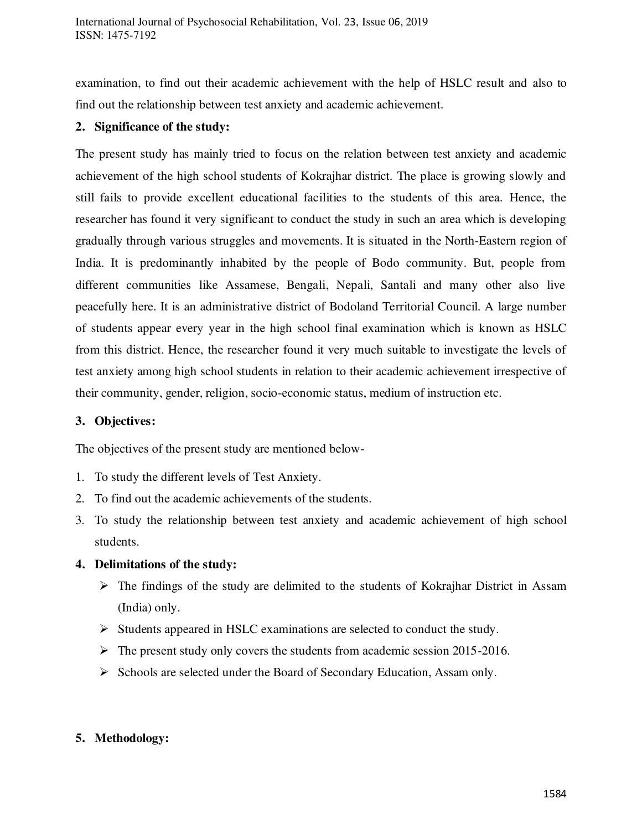examination, to find out their academic achievement with the help of HSLC result and also to find out the relationship between test anxiety and academic achievement.

#### **2. Significance of the study:**

The present study has mainly tried to focus on the relation between test anxiety and academic achievement of the high school students of Kokrajhar district. The place is growing slowly and still fails to provide excellent educational facilities to the students of this area. Hence, the researcher has found it very significant to conduct the study in such an area which is developing gradually through various struggles and movements. It is situated in the North-Eastern region of India. It is predominantly inhabited by the people of Bodo community. But, people from different communities like Assamese, Bengali, Nepali, Santali and many other also live peacefully here. It is an administrative district of Bodoland Territorial Council. A large number of students appear every year in the high school final examination which is known as HSLC from this district. Hence, the researcher found it very much suitable to investigate the levels of test anxiety among high school students in relation to their academic achievement irrespective of their community, gender, religion, socio-economic status, medium of instruction etc.

#### **3. Objectives:**

The objectives of the present study are mentioned below-

- 1. To study the different levels of Test Anxiety.
- 2. To find out the academic achievements of the students.
- 3. To study the relationship between test anxiety and academic achievement of high school students.

# **4. Delimitations of the study:**

- $\triangleright$  The findings of the study are delimited to the students of Kokrajhar District in Assam (India) only.
- $\triangleright$  Students appeared in HSLC examinations are selected to conduct the study.
- $\triangleright$  The present study only covers the students from academic session 2015-2016.
- $\triangleright$  Schools are selected under the Board of Secondary Education, Assam only.

# **5. Methodology:**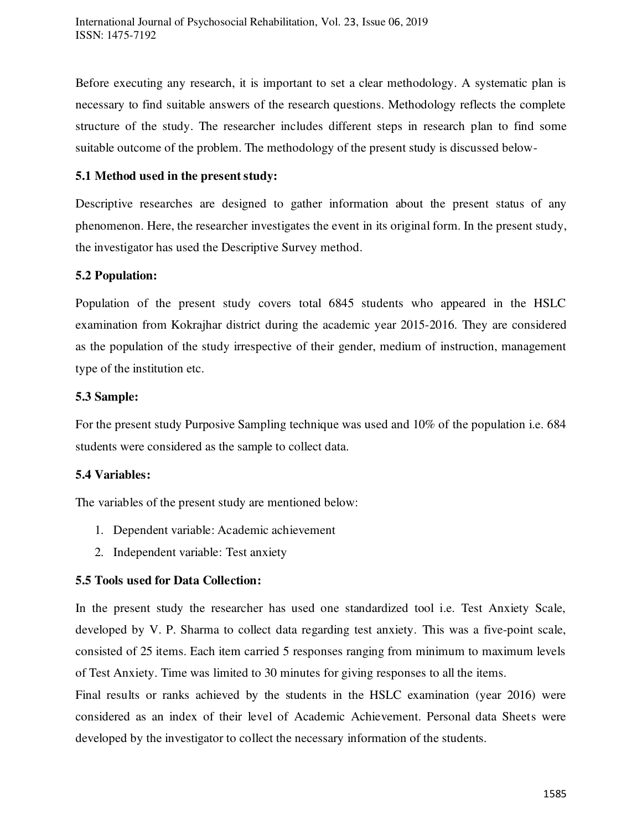Before executing any research, it is important to set a clear methodology. A systematic plan is necessary to find suitable answers of the research questions. Methodology reflects the complete structure of the study. The researcher includes different steps in research plan to find some suitable outcome of the problem. The methodology of the present study is discussed below-

### **5.1 Method used in the present study:**

Descriptive researches are designed to gather information about the present status of any phenomenon. Here, the researcher investigates the event in its original form. In the present study, the investigator has used the Descriptive Survey method.

#### **5.2 Population:**

Population of the present study covers total 6845 students who appeared in the HSLC examination from Kokrajhar district during the academic year 2015-2016. They are considered as the population of the study irrespective of their gender, medium of instruction, management type of the institution etc.

#### **5.3 Sample:**

For the present study Purposive Sampling technique was used and 10% of the population i.e. 684 students were considered as the sample to collect data.

# **5.4 Variables:**

The variables of the present study are mentioned below:

- 1. Dependent variable: Academic achievement
- 2. Independent variable: Test anxiety

# **5.5 Tools used for Data Collection:**

In the present study the researcher has used one standardized tool i.e. Test Anxiety Scale, developed by V. P. Sharma to collect data regarding test anxiety. This was a five-point scale, consisted of 25 items. Each item carried 5 responses ranging from minimum to maximum levels of Test Anxiety. Time was limited to 30 minutes for giving responses to all the items.

Final results or ranks achieved by the students in the HSLC examination (year 2016) were considered as an index of their level of Academic Achievement. Personal data Sheets were developed by the investigator to collect the necessary information of the students.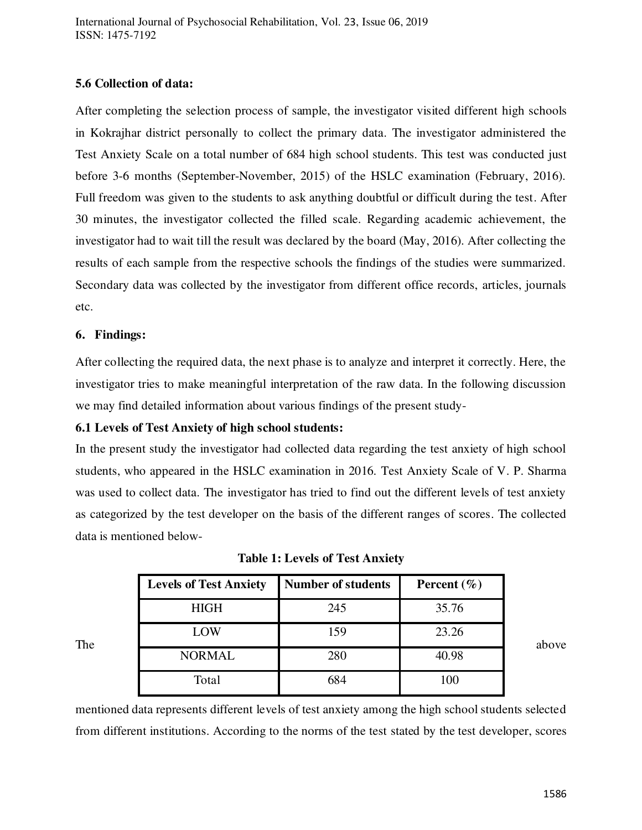### **5.6 Collection of data:**

After completing the selection process of sample, the investigator visited different high schools in Kokrajhar district personally to collect the primary data. The investigator administered the Test Anxiety Scale on a total number of 684 high school students. This test was conducted just before 3-6 months (September-November, 2015) of the HSLC examination (February, 2016). Full freedom was given to the students to ask anything doubtful or difficult during the test. After 30 minutes, the investigator collected the filled scale. Regarding academic achievement, the investigator had to wait till the result was declared by the board (May, 2016). After collecting the results of each sample from the respective schools the findings of the studies were summarized. Secondary data was collected by the investigator from different office records, articles, journals etc.

#### **6. Findings:**

After collecting the required data, the next phase is to analyze and interpret it correctly. Here, the investigator tries to make meaningful interpretation of the raw data. In the following discussion we may find detailed information about various findings of the present study-

# **6.1 Levels of Test Anxiety of high school students:**

In the present study the investigator had collected data regarding the test anxiety of high school students, who appeared in the HSLC examination in 2016. Test Anxiety Scale of V. P. Sharma was used to collect data. The investigator has tried to find out the different levels of test anxiety as categorized by the test developer on the basis of the different ranges of scores. The collected data is mentioned below-

|     | <b>Levels of Test Anxiety</b> | <b>Number of students</b> | Percent $(\% )$ |
|-----|-------------------------------|---------------------------|-----------------|
| The | <b>HIGH</b>                   | 245                       | 35.76           |
|     | LOW                           | 159                       | 23.26           |
|     | <b>NORMAL</b>                 | 280                       | 40.98           |
|     | Total                         | 684                       | 100             |

**Table 1: Levels of Test Anxiety**

mentioned data represents different levels of test anxiety among the high school students selected from different institutions. According to the norms of the test stated by the test developer, scores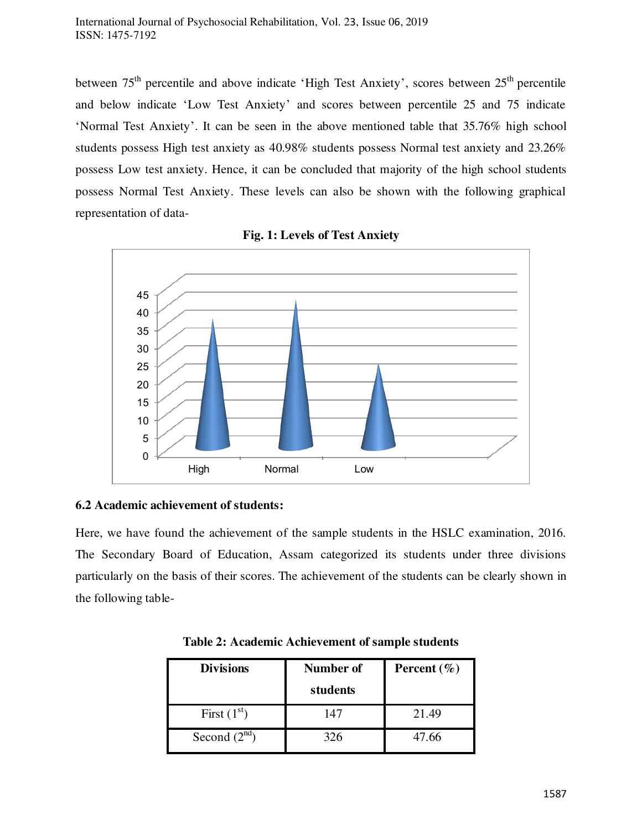between  $75<sup>th</sup>$  percentile and above indicate 'High Test Anxiety', scores between  $25<sup>th</sup>$  percentile and below indicate 'Low Test Anxiety' and scores between percentile 25 and 75 indicate 'Normal Test Anxiety'. It can be seen in the above mentioned table that 35.76% high school students possess High test anxiety as 40.98% students possess Normal test anxiety and 23.26% possess Low test anxiety. Hence, it can be concluded that majority of the high school students possess Normal Test Anxiety. These levels can also be shown with the following graphical representation of data-





# **6.2 Academic achievement of students:**

Here, we have found the achievement of the sample students in the HSLC examination, 2016. The Secondary Board of Education, Assam categorized its students under three divisions particularly on the basis of their scores. The achievement of the students can be clearly shown in the following table-

| <b>Divisions</b>  | <b>Number of</b><br>students | Percent $(\% )$ |
|-------------------|------------------------------|-----------------|
| First $(1st)$     | 147                          | 21.49           |
| Second $(2^{nd})$ | 326                          | 47.66           |

**Table 2: Academic Achievement of sample students**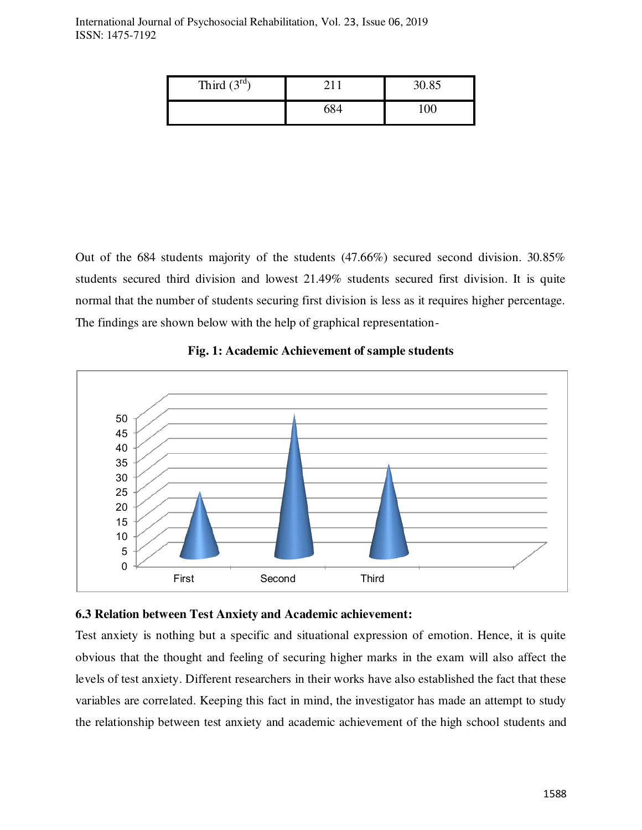| Third $(3rd)$ | 30.85    |
|---------------|----------|
|               | $\alpha$ |

Out of the 684 students majority of the students (47.66%) secured second division. 30.85% students secured third division and lowest 21.49% students secured first division. It is quite normal that the number of students securing first division is less as it requires higher percentage. The findings are shown below with the help of graphical representation-



#### **Fig. 1: Academic Achievement of sample students**

#### **6.3 Relation between Test Anxiety and Academic achievement:**

Test anxiety is nothing but a specific and situational expression of emotion. Hence, it is quite obvious that the thought and feeling of securing higher marks in the exam will also affect the levels of test anxiety. Different researchers in their works have also established the fact that these variables are correlated. Keeping this fact in mind, the investigator has made an attempt to study the relationship between test anxiety and academic achievement of the high school students and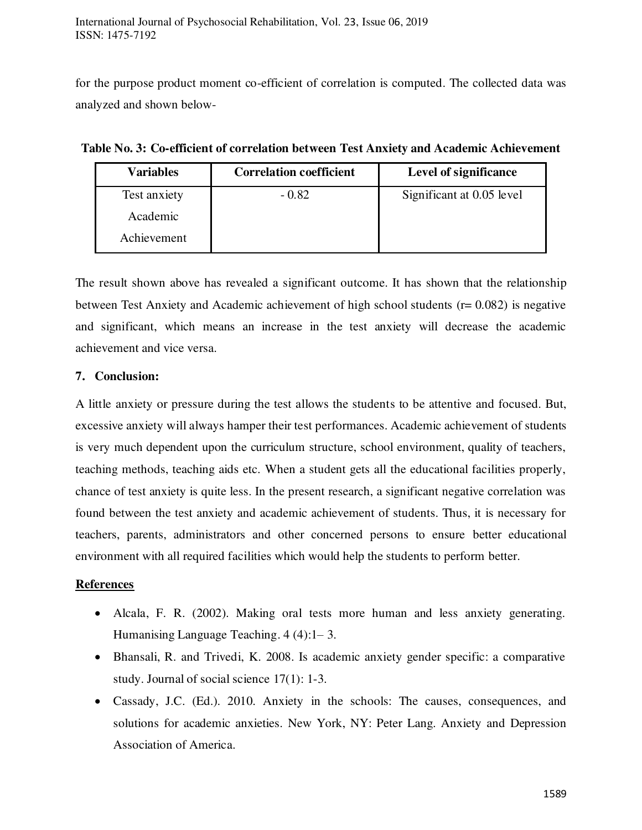for the purpose product moment co-efficient of correlation is computed. The collected data was analyzed and shown below-

| Variables    | <b>Correlation coefficient</b> | Level of significance     |
|--------------|--------------------------------|---------------------------|
| Test anxiety | $-0.82$                        | Significant at 0.05 level |
| Academic     |                                |                           |
| Achievement  |                                |                           |

**Table No. 3: Co-efficient of correlation between Test Anxiety and Academic Achievement** 

The result shown above has revealed a significant outcome. It has shown that the relationship between Test Anxiety and Academic achievement of high school students (r= 0.082) is negative and significant, which means an increase in the test anxiety will decrease the academic achievement and vice versa.

# **7. Conclusion:**

A little anxiety or pressure during the test allows the students to be attentive and focused. But, excessive anxiety will always hamper their test performances. Academic achievement of students is very much dependent upon the curriculum structure, school environment, quality of teachers, teaching methods, teaching aids etc. When a student gets all the educational facilities properly, chance of test anxiety is quite less. In the present research, a significant negative correlation was found between the test anxiety and academic achievement of students. Thus, it is necessary for teachers, parents, administrators and other concerned persons to ensure better educational environment with all required facilities which would help the students to perform better.

# **References**

- Alcala, F. R. (2002). Making oral tests more human and less anxiety generating. Humanising Language Teaching. 4 (4):1– 3.
- Bhansali, R. and Trivedi, K. 2008. Is academic anxiety gender specific: a comparative study. Journal of social science 17(1): 1-3.
- Cassady, J.C. (Ed.). 2010. Anxiety in the schools: The causes, consequences, and solutions for academic anxieties. New York, NY: Peter Lang. Anxiety and Depression Association of America.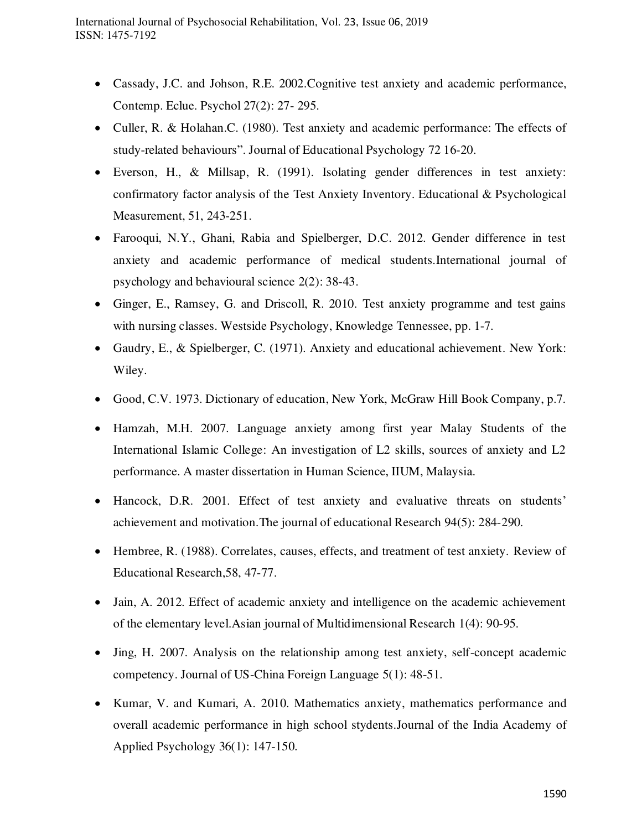- Cassady, J.C. and Johson, R.E. 2002.Cognitive test anxiety and academic performance, Contemp. Eclue. Psychol 27(2): 27- 295.
- Culler, R. & Holahan.C. (1980). Test anxiety and academic performance: The effects of study-related behaviours". Journal of Educational Psychology 72 16-20.
- Everson, H., & Millsap, R. (1991). Isolating gender differences in test anxiety: confirmatory factor analysis of the Test Anxiety Inventory. Educational & Psychological Measurement, 51, 243-251.
- Farooqui, N.Y., Ghani, Rabia and Spielberger, D.C. 2012. Gender difference in test anxiety and academic performance of medical students.International journal of psychology and behavioural science 2(2): 38-43.
- Ginger, E., Ramsey, G. and Driscoll, R. 2010. Test anxiety programme and test gains with nursing classes. Westside Psychology, Knowledge Tennessee, pp. 1-7.
- Gaudry, E., & Spielberger, C. (1971). Anxiety and educational achievement. New York: Wiley.
- Good, C.V. 1973. Dictionary of education, New York, McGraw Hill Book Company, p.7.
- Hamzah, M.H. 2007. Language anxiety among first year Malay Students of the International Islamic College: An investigation of L2 skills, sources of anxiety and L2 performance. A master dissertation in Human Science, IIUM, Malaysia.
- Hancock, D.R. 2001. Effect of test anxiety and evaluative threats on students' achievement and motivation.The journal of educational Research 94(5): 284-290.
- Hembree, R. (1988). Correlates, causes, effects, and treatment of test anxiety. Review of Educational Research,58, 47-77.
- Jain, A. 2012. Effect of academic anxiety and intelligence on the academic achievement of the elementary level.Asian journal of Multidimensional Research 1(4): 90-95.
- Jing, H. 2007. Analysis on the relationship among test anxiety, self-concept academic competency. Journal of US-China Foreign Language 5(1): 48-51.
- Kumar, V. and Kumari, A. 2010. Mathematics anxiety, mathematics performance and overall academic performance in high school stydents.Journal of the India Academy of Applied Psychology 36(1): 147-150.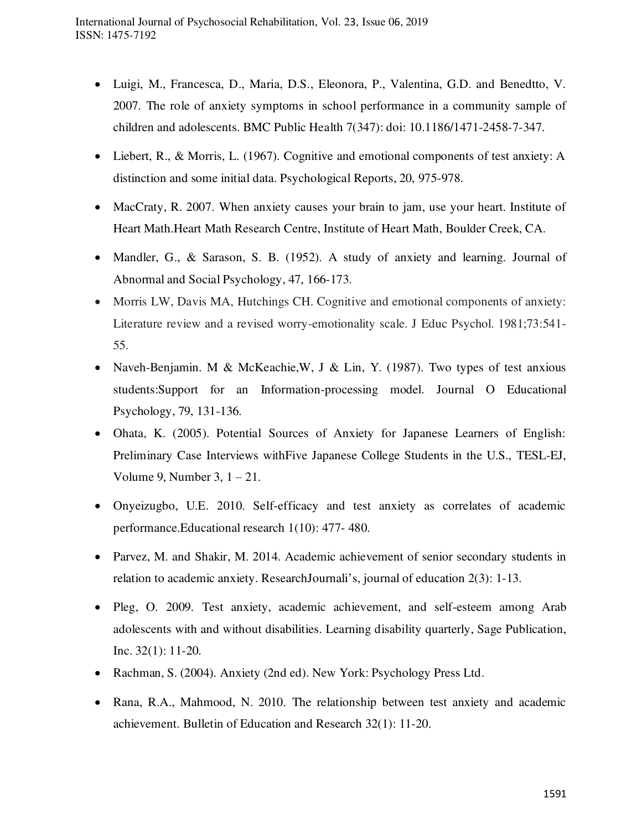- Luigi, M., Francesca, D., Maria, D.S., Eleonora, P., Valentina, G.D. and Benedtto, V. 2007. The role of anxiety symptoms in school performance in a community sample of children and adolescents. BMC Public Health 7(347): doi: 10.1186/1471-2458-7-347.
- Liebert, R., & Morris, L. (1967). Cognitive and emotional components of test anxiety: A distinction and some initial data. Psychological Reports, 20, 975-978.
- MacCraty, R. 2007. When anxiety causes your brain to jam, use your heart. Institute of Heart Math.Heart Math Research Centre, Institute of Heart Math, Boulder Creek, CA.
- Mandler, G., & Sarason, S. B. (1952). A study of anxiety and learning. Journal of Abnormal and Social Psychology, 47, 166-173.
- Morris LW, Davis MA, Hutchings CH. Cognitive and emotional components of anxiety: Literature review and a revised worry-emotionality scale. J Educ Psychol. 1981;73:541- 55.
- Naveh-Benjamin. M & McKeachie, W, J & Lin, Y. (1987). Two types of test anxious students:Support for an Information-processing model. Journal O Educational Psychology, 79, 131-136.
- Ohata, K. (2005). Potential Sources of Anxiety for Japanese Learners of English: Preliminary Case Interviews withFive Japanese College Students in the U.S., TESL-EJ, Volume 9, Number 3,  $1 - 21$ .
- Onyeizugbo, U.E. 2010. Self-efficacy and test anxiety as correlates of academic performance.Educational research 1(10): 477- 480.
- Parvez, M. and Shakir, M. 2014. Academic achievement of senior secondary students in relation to academic anxiety. ResearchJournali's, journal of education 2(3): 1-13.
- Pleg, O. 2009. Test anxiety, academic achievement, and self-esteem among Arab adolescents with and without disabilities. Learning disability quarterly, Sage Publication, Inc. 32(1): 11-20.
- Rachman, S. (2004). Anxiety (2nd ed). New York: Psychology Press Ltd.
- Rana, R.A., Mahmood, N. 2010. The relationship between test anxiety and academic achievement. Bulletin of Education and Research 32(1): 11-20.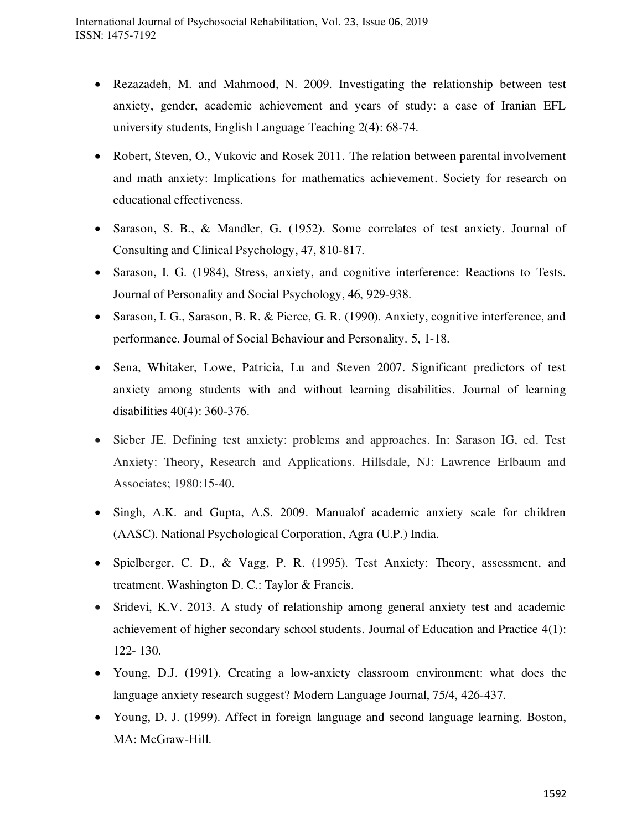- Rezazadeh, M. and Mahmood, N. 2009. Investigating the relationship between test anxiety, gender, academic achievement and years of study: a case of Iranian EFL university students, English Language Teaching 2(4): 68-74.
- Robert, Steven, O., Vukovic and Rosek 2011. The relation between parental involvement and math anxiety: Implications for mathematics achievement. Society for research on educational effectiveness.
- Sarason, S. B., & Mandler, G. (1952). Some correlates of test anxiety. Journal of Consulting and Clinical Psychology, 47, 810-817.
- Sarason, I. G. (1984), Stress, anxiety, and cognitive interference: Reactions to Tests. Journal of Personality and Social Psychology, 46, 929-938.
- Sarason, I. G., Sarason, B. R. & Pierce, G. R. (1990). Anxiety, cognitive interference, and performance. Journal of Social Behaviour and Personality. 5, 1-18.
- Sena, Whitaker, Lowe, Patricia, Lu and Steven 2007. Significant predictors of test anxiety among students with and without learning disabilities. Journal of learning disabilities 40(4): 360-376.
- Sieber JE. Defining test anxiety: problems and approaches. In: Sarason IG, ed. Test Anxiety: Theory, Research and Applications. Hillsdale, NJ: Lawrence Erlbaum and Associates; 1980:15-40.
- Singh, A.K. and Gupta, A.S. 2009. Manualof academic anxiety scale for children (AASC). National Psychological Corporation, Agra (U.P.) India.
- Spielberger, C. D., & Vagg, P. R. (1995). Test Anxiety: Theory, assessment, and treatment. Washington D. C.: Taylor & Francis.
- Sridevi, K.V. 2013. A study of relationship among general anxiety test and academic achievement of higher secondary school students. Journal of Education and Practice 4(1): 122- 130.
- Young, D.J. (1991). Creating a low-anxiety classroom environment: what does the language anxiety research suggest? Modern Language Journal, 75/4, 426-437.
- Young, D. J. (1999). Affect in foreign language and second language learning. Boston, MA: McGraw-Hill.